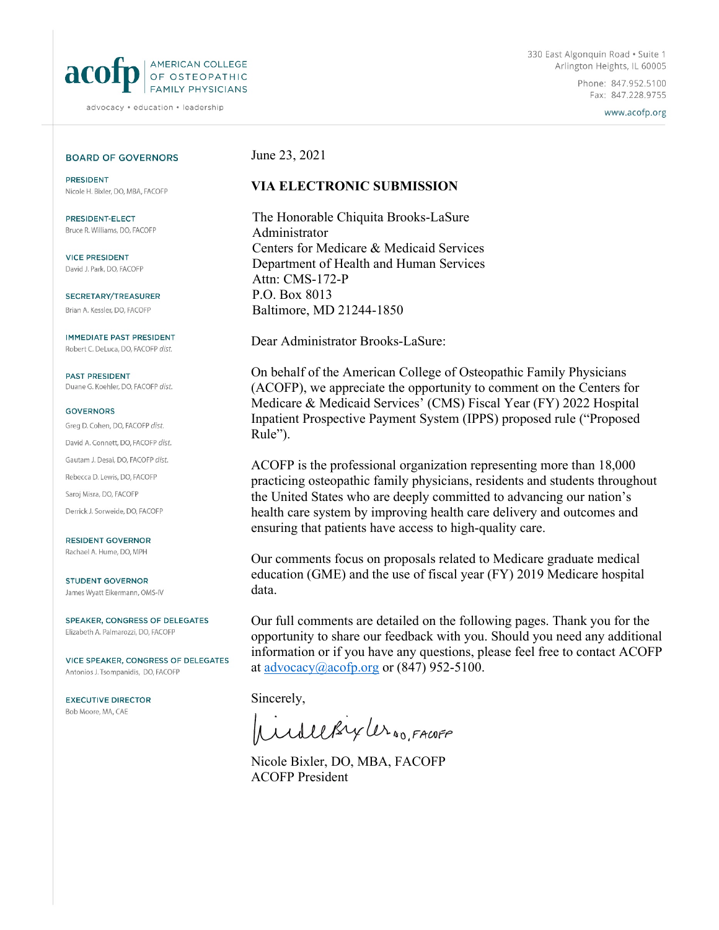

advocacy · education · leadership

Phone: 847.952.5100 Fax: 847.228.9755

www.acofp.org

### **BOARD OF GOVERNORS**

**PRESIDENT** Nicole H. Bixler, DO, MBA, FACOFP

PRESIDENT-FLECT Bruce R. Williams, DO, FACOFP

**VICE PRESIDENT** David J. Park, DO, FACOFP

SECRETARY/TREASURER Brian A. Kessler, DO, FACOFP

**IMMEDIATE PAST PRESIDENT** Robert C. DeLuca, DO, FACOFP dist.

**PAST PRESIDENT** Duane G. Koehler, DO, FACOFP dist.

#### **GOVERNORS**

Grea D. Cohen, DO, FACOFP dist. David A. Connett, DO, FACOFP dist. Gautam J. Desai, DO, FACOFP dist. Rebecca D. Lewis, DO, FACOFP Saroj Misra, DO, FACOFP Derrick J. Sorweide, DO, FACOFP

**RESIDENT GOVERNOR** Rachael A. Hume, DO, MPH

**STUDENT GOVERNOR** James Wyatt Eikermann, OMS-IV

SPEAKER, CONGRESS OF DELEGATES Elizabeth A. Palmarozzi, DO, FACOFP

VICE SPEAKER, CONGRESS OF DELEGATES Antonios J. Tsompanidis, DO, FACOFP

**EXECUTIVE DIRECTOR** Bob Moore, MA, CAE

### June 23, 2021

## **VIA ELECTRONIC SUBMISSION**

The Honorable Chiquita Brooks-LaSure Administrator Centers for Medicare & Medicaid Services Department of Health and Human Services Attn: CMS-172-P P.O. Box 8013 Baltimore, MD 21244-1850

Dear Administrator Brooks-LaSure:

On behalf of the American College of Osteopathic Family Physicians (ACOFP), we appreciate the opportunity to comment on the Centers for Medicare & Medicaid Services' (CMS) Fiscal Year (FY) 2022 Hospital Inpatient Prospective Payment System (IPPS) proposed rule ("Proposed Rule").

ACOFP is the professional organization representing more than 18,000 practicing osteopathic family physicians, residents and students throughout the United States who are deeply committed to advancing our nation's health care system by improving health care delivery and outcomes and ensuring that patients have access to high-quality care.

Our comments focus on proposals related to Medicare graduate medical education (GME) and the use of fiscal year (FY) 2019 Medicare hospital data.

Our full comments are detailed on the following pages. Thank you for the opportunity to share our feedback with you. Should you need any additional information or if you have any questions, please feel free to contact ACOFP at [advocacy@acofp.org](mailto:advocacy@acofp.org) or  $(847)$  952-5100.

Sincerely,

WilleBryter NO, FACOFF

Nicole Bixler, DO, MBA, FACOFP ACOFP President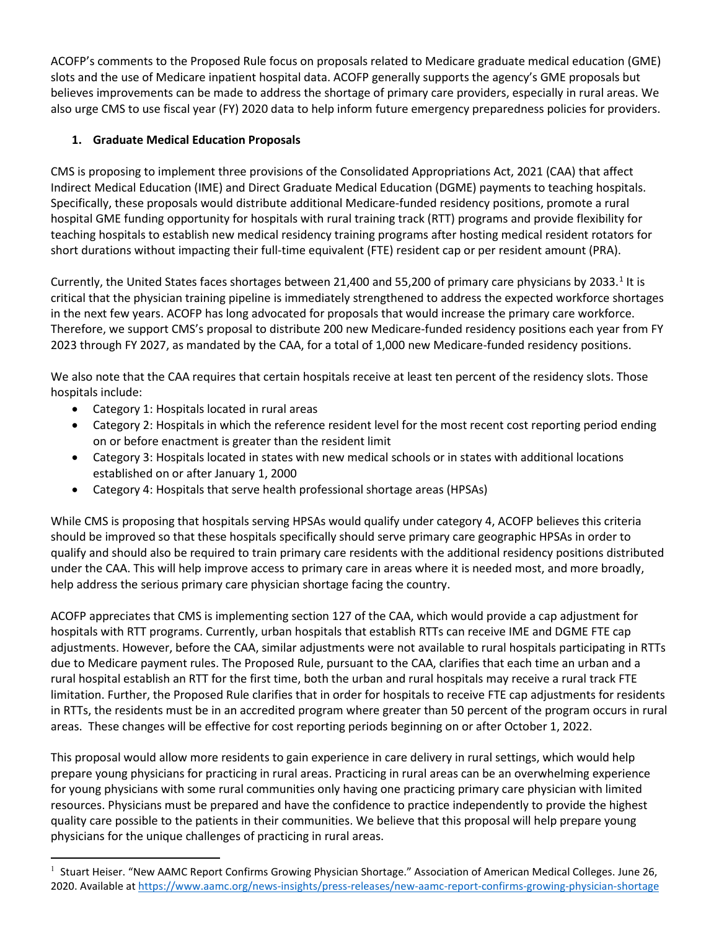ACOFP's comments to the Proposed Rule focus on proposals related to Medicare graduate medical education (GME) slots and the use of Medicare inpatient hospital data. ACOFP generally supports the agency's GME proposals but believes improvements can be made to address the shortage of primary care providers, especially in rural areas. We also urge CMS to use fiscal year (FY) 2020 data to help inform future emergency preparedness policies for providers.

# **1. Graduate Medical Education Proposals**

CMS is proposing to implement three provisions of the Consolidated Appropriations Act, 2021 (CAA) that affect Indirect Medical Education (IME) and Direct Graduate Medical Education (DGME) payments to teaching hospitals. Specifically, these proposals would distribute additional Medicare-funded residency positions, promote a rural hospital GME funding opportunity for hospitals with rural training track (RTT) programs and provide flexibility for teaching hospitals to establish new medical residency training programs after hosting medical resident rotators for short durations without impacting their full-time equivalent (FTE) resident cap or per resident amount (PRA).

Currently, the United States faces shortages between 2[1](#page-1-0),400 and 55,200 of primary care physicians by 2033. $1$  It is critical that the physician training pipeline is immediately strengthened to address the expected workforce shortages in the next few years. ACOFP has long advocated for proposals that would increase the primary care workforce. Therefore, we support CMS's proposal to distribute 200 new Medicare-funded residency positions each year from FY 2023 through FY 2027, as mandated by the CAA, for a total of 1,000 new Medicare-funded residency positions.

We also note that the CAA requires that certain hospitals receive at least ten percent of the residency slots. Those hospitals include:

- Category 1: Hospitals located in rural areas
- Category 2: Hospitals in which the reference resident level for the most recent cost reporting period ending on or before enactment is greater than the resident limit
- Category 3: Hospitals located in states with new medical schools or in states with additional locations established on or after January 1, 2000
- Category 4: Hospitals that serve health professional shortage areas (HPSAs)

While CMS is proposing that hospitals serving HPSAs would qualify under category 4, ACOFP believes this criteria should be improved so that these hospitals specifically should serve primary care geographic HPSAs in order to qualify and should also be required to train primary care residents with the additional residency positions distributed under the CAA. This will help improve access to primary care in areas where it is needed most, and more broadly, help address the serious primary care physician shortage facing the country.

ACOFP appreciates that CMS is implementing section 127 of the CAA, which would provide a cap adjustment for hospitals with RTT programs. Currently, urban hospitals that establish RTTs can receive IME and DGME FTE cap adjustments. However, before the CAA, similar adjustments were not available to rural hospitals participating in RTTs due to Medicare payment rules. The Proposed Rule, pursuant to the CAA, clarifies that each time an urban and a rural hospital establish an RTT for the first time, both the urban and rural hospitals may receive a rural track FTE limitation. Further, the Proposed Rule clarifies that in order for hospitals to receive FTE cap adjustments for residents in RTTs, the residents must be in an accredited program where greater than 50 percent of the program occurs in rural areas. These changes will be effective for cost reporting periods beginning on or after October 1, 2022.

This proposal would allow more residents to gain experience in care delivery in rural settings, which would help prepare young physicians for practicing in rural areas. Practicing in rural areas can be an overwhelming experience for young physicians with some rural communities only having one practicing primary care physician with limited resources. Physicians must be prepared and have the confidence to practice independently to provide the highest quality care possible to the patients in their communities. We believe that this proposal will help prepare young physicians for the unique challenges of practicing in rural areas.

<span id="page-1-0"></span><sup>&</sup>lt;sup>1</sup> Stuart Heiser. "New AAMC Report Confirms Growing Physician Shortage." Association of American Medical Colleges. June 26, 2020. Available at<https://www.aamc.org/news-insights/press-releases/new-aamc-report-confirms-growing-physician-shortage>